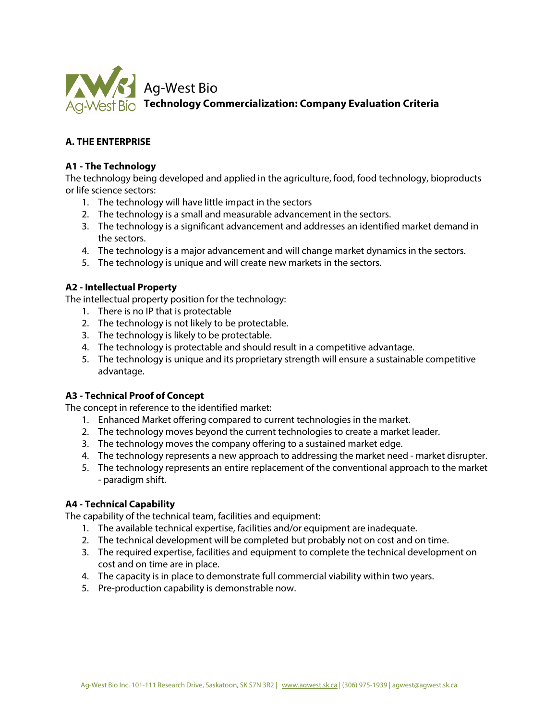

# **A. THE ENTERPRISE**

## **A1 - The Technology**

The technology being developed and applied in the agriculture, food, food technology, bioproducts or life science sectors:

- 1. The technology will have little impact in the sectors
- 2. The technology is a small and measurable advancement in the sectors.
- 3. The technology is a significant advancement and addresses an identified market demand in the sectors.
- 4. The technology is a major advancement and will change market dynamics in the sectors.
- 5. The technology is unique and will create new markets in the sectors.

## **A2 - Intellectual Property**

The intellectual property position for the technology:

- 1. There is no IP that is protectable
- 2. The technology is not likely to be protectable.
- 3. The technology is likely to be protectable.
- 4. The technology is protectable and should result in a competitive advantage.
- 5. The technology is unique and its proprietary strength will ensure a sustainable competitive advantage.

# **A3 - Technical Proof of Concept**

The concept in reference to the identified market:

- 1. Enhanced Market offering compared to current technologies in the market.
- 2. The technology moves beyond the current technologies to create a market leader.
- 3. The technology moves the company offering to a sustained market edge.
- 4. The technology represents a new approach to addressing the market need market disrupter.
- 5. The technology represents an entire replacement of the conventional approach to the market - paradigm shift.

#### **A4 - Technical Capability**

The capability of the technical team, facilities and equipment:

- 1. The available technical expertise, facilities and/or equipment are inadequate.
- 2. The technical development will be completed but probably not on cost and on time.
- 3. The required expertise, facilities and equipment to complete the technical development on cost and on time are in place.
- 4. The capacity is in place to demonstrate full commercial viability within two years.
- 5. Pre-production capability is demonstrable now.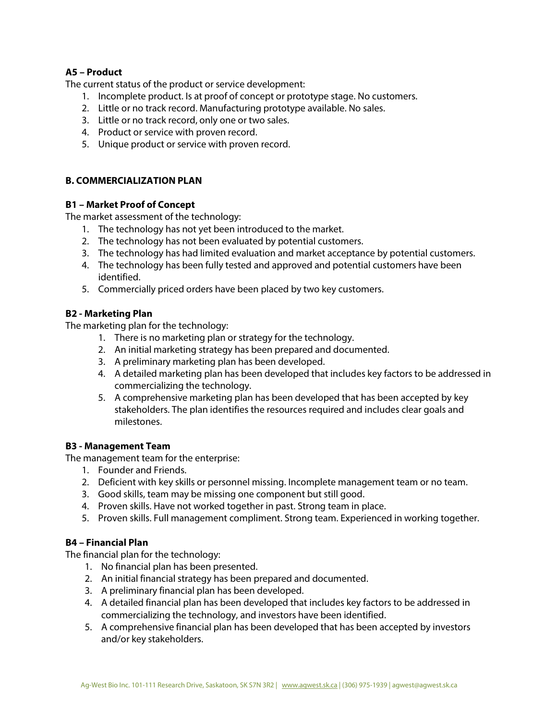# **A5 – Product**

The current status of the product or service development:

- 1. Incomplete product. Is at proof of concept or prototype stage. No customers.
- 2. Little or no track record. Manufacturing prototype available. No sales.
- 3. Little or no track record, only one or two sales.
- 4. Product or service with proven record.
- 5. Unique product or service with proven record.

# **B. COMMERCIALIZATION PLAN**

### **B1 – Market Proof of Concept**

The market assessment of the technology:

- 1. The technology has not yet been introduced to the market.
- 2. The technology has not been evaluated by potential customers.
- 3. The technology has had limited evaluation and market acceptance by potential customers.
- 4. The technology has been fully tested and approved and potential customers have been identified.
- 5. Commercially priced orders have been placed by two key customers.

## **B2 - Marketing Plan**

The marketing plan for the technology:

- 1. There is no marketing plan or strategy for the technology.
- 2. An initial marketing strategy has been prepared and documented.
- 3. A preliminary marketing plan has been developed.
- 4. A detailed marketing plan has been developed that includes key factors to be addressed in commercializing the technology.
- 5. A comprehensive marketing plan has been developed that has been accepted by key stakeholders. The plan identifies the resources required and includes clear goals and milestones.

#### **B3 - Management Team**

The management team for the enterprise:

- 1. Founder and Friends.
- 2. Deficient with key skills or personnel missing. Incomplete management team or no team.
- 3. Good skills, team may be missing one component but still good.
- 4. Proven skills. Have not worked together in past. Strong team in place.
- 5. Proven skills. Full management compliment. Strong team. Experienced in working together.

# **B4 – Financial Plan**

The financial plan for the technology:

- 1. No financial plan has been presented.
- 2. An initial financial strategy has been prepared and documented.
- 3. A preliminary financial plan has been developed.
- 4. A detailed financial plan has been developed that includes key factors to be addressed in commercializing the technology, and investors have been identified.
- 5. A comprehensive financial plan has been developed that has been accepted by investors and/or key stakeholders.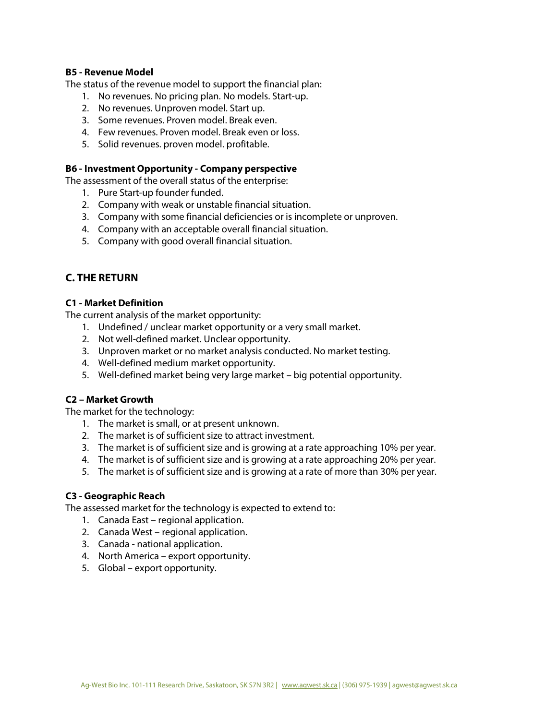#### **B5 - Revenue Model**

The status of the revenue model to support the financial plan:

- 1. No revenues. No pricing plan. No models. Start-up.
- 2. No revenues. Unproven model. Start up.
- 3. Some revenues. Proven model. Break even.
- 4. Few revenues. Proven model. Break even or loss.
- 5. Solid revenues. proven model. profitable.

#### **B6 - Investment Opportunity - Company perspective**

The assessment of the overall status of the enterprise:

- 1. Pure Start-up founder funded.
- 2. Company with weak or unstable financial situation.
- 3. Company with some financial deficiencies or is incomplete or unproven.
- 4. Company with an acceptable overall financial situation.
- 5. Company with good overall financial situation.

# **C. THE RETURN**

### **C1 - Market Definition**

The current analysis of the market opportunity:

- 1. Undefined / unclear market opportunity or a very small market.
- 2. Not well-defined market. Unclear opportunity.
- 3. Unproven market or no market analysis conducted. No market testing.
- 4. Well-defined medium market opportunity.
- 5. Well-defined market being very large market big potential opportunity.

#### **C2 – Market Growth**

The market for the technology:

- 1. The market is small, or at present unknown.
- 2. The market is of sufficient size to attract investment.
- 3. The market is of sufficient size and is growing at a rate approaching 10% per year.
- 4. The market is of sufficient size and is growing at a rate approaching 20% per year.
- 5. The market is of sufficient size and is growing at a rate of more than 30% per year.

#### **C3 - Geographic Reach**

The assessed market for the technology is expected to extend to:

- 1. Canada East regional application.
- 2. Canada West regional application.
- 3. Canada national application.
- 4. North America export opportunity.
- 5. Global export opportunity.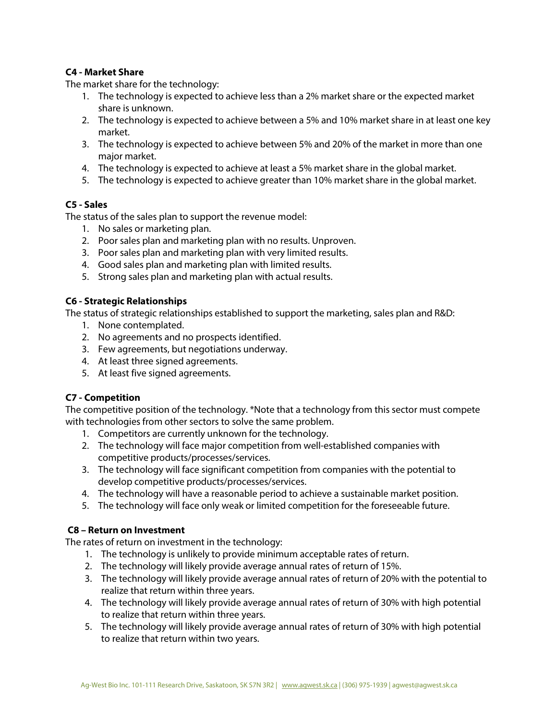# **C4 - Market Share**

The market share for the technology:

- 1. The technology is expected to achieve less than a 2% market share or the expected market share is unknown.
- 2. The technology is expected to achieve between a 5% and 10% market share in at least one key market.
- 3. The technology is expected to achieve between 5% and 20% of the market in more than one major market.
- 4. The technology is expected to achieve at least a 5% market share in the global market.
- 5. The technology is expected to achieve greater than 10% market share in the global market.

# **C5 - Sales**

The status of the sales plan to support the revenue model:

- 1. No sales or marketing plan.
- 2. Poor sales plan and marketing plan with no results. Unproven.
- 3. Poor sales plan and marketing plan with very limited results.
- 4. Good sales plan and marketing plan with limited results.
- 5. Strong sales plan and marketing plan with actual results.

## **C6 - Strategic Relationships**

The status of strategic relationships established to support the marketing, sales plan and R&D:

- 1. None contemplated.
- 2. No agreements and no prospects identified.
- 3. Few agreements, but negotiations underway.
- 4. At least three signed agreements.
- 5. At least five signed agreements.

# **C7 - Competition**

The competitive position of the technology. \*Note that a technology from this sector must compete with technologies from other sectors to solve the same problem.

- 1. Competitors are currently unknown for the technology.
- 2. The technology will face major competition from well-established companies with competitive products/processes/services.
- 3. The technology will face significant competition from companies with the potential to develop competitive products/processes/services.
- 4. The technology will have a reasonable period to achieve a sustainable market position.
- 5. The technology will face only weak or limited competition for the foreseeable future.

# **C8 – Return on Investment**

The rates of return on investment in the technology:

- 1. The technology is unlikely to provide minimum acceptable rates of return.
- 2. The technology will likely provide average annual rates of return of 15%.
- 3. The technology will likely provide average annual rates of return of 20% with the potential to realize that return within three years.
- 4. The technology will likely provide average annual rates of return of 30% with high potential to realize that return within three years.
- 5. The technology will likely provide average annual rates of return of 30% with high potential to realize that return within two years.